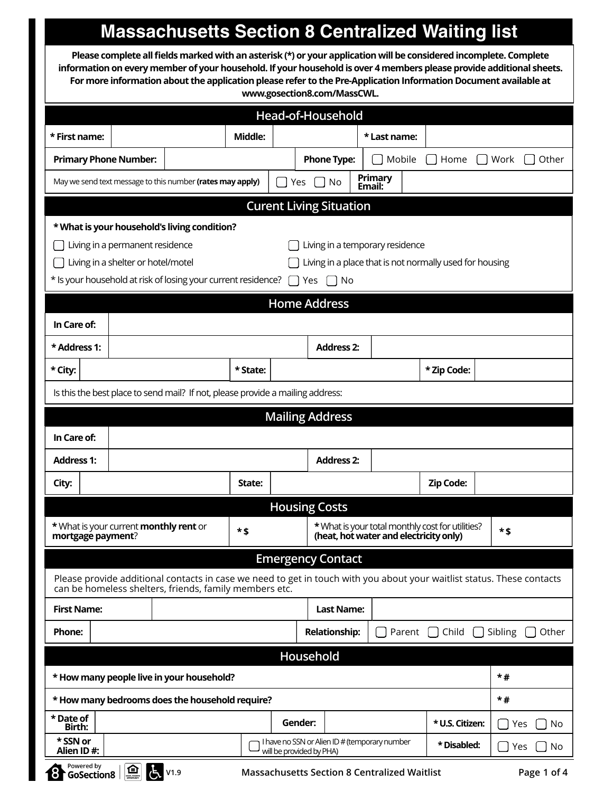## **Massachusetts Section 8 Centralized Waiting list**

**Please complete all fields marked with an asterisk (\*) or your application will be considered incomplete. Complete information on every member of your household. If your household is over 4 members please provide additional sheets. For more information about the application please refer to the Pre-Application Information Document available at www.gosection8.com/MassCWL.** 

| Head-of-Household                                                  |                                                   |                                               |                                                                                                                                                                                  |          |    |                          |                                                     |  |              |        |                                                                                            |         |             |
|--------------------------------------------------------------------|---------------------------------------------------|-----------------------------------------------|----------------------------------------------------------------------------------------------------------------------------------------------------------------------------------|----------|----|--------------------------|-----------------------------------------------------|--|--------------|--------|--------------------------------------------------------------------------------------------|---------|-------------|
| * First name:                                                      |                                                   |                                               |                                                                                                                                                                                  | Middle:  |    |                          |                                                     |  | * Last name: |        |                                                                                            |         |             |
|                                                                    |                                                   | <b>Primary Phone Number:</b>                  |                                                                                                                                                                                  |          |    |                          | <b>Phone Type:</b>                                  |  | Mobile       |        | Home                                                                                       | Work    | Other       |
| May we send text message to this number (rates may apply)          |                                                   |                                               |                                                                                                                                                                                  | Yes      | No | Primary<br>Email:        |                                                     |  |              |        |                                                                                            |         |             |
|                                                                    |                                                   |                                               |                                                                                                                                                                                  |          |    |                          | <b>Curent Living Situation</b>                      |  |              |        |                                                                                            |         |             |
|                                                                    | * What is your household's living condition?      |                                               |                                                                                                                                                                                  |          |    |                          |                                                     |  |              |        |                                                                                            |         |             |
| Living in a temporary residence<br>Living in a permanent residence |                                                   |                                               |                                                                                                                                                                                  |          |    |                          |                                                     |  |              |        |                                                                                            |         |             |
|                                                                    |                                                   | Living in a shelter or hotel/motel            |                                                                                                                                                                                  |          |    |                          |                                                     |  |              |        | Living in a place that is not normally used for housing                                    |         |             |
|                                                                    |                                                   |                                               | * Is your household at risk of losing your current residence?                                                                                                                    |          |    | Yes                      | ∩ No                                                |  |              |        |                                                                                            |         |             |
|                                                                    |                                                   |                                               |                                                                                                                                                                                  |          |    | <b>Home Address</b>      |                                                     |  |              |        |                                                                                            |         |             |
| In Care of:                                                        |                                                   |                                               |                                                                                                                                                                                  |          |    |                          |                                                     |  |              |        |                                                                                            |         |             |
| * Address 1:                                                       |                                                   |                                               |                                                                                                                                                                                  |          |    |                          | <b>Address 2:</b>                                   |  |              |        |                                                                                            |         |             |
| * City:                                                            |                                                   |                                               |                                                                                                                                                                                  | * State: |    |                          |                                                     |  |              |        | * Zip Code:                                                                                |         |             |
|                                                                    |                                                   |                                               | Is this the best place to send mail? If not, please provide a mailing address:                                                                                                   |          |    |                          |                                                     |  |              |        |                                                                                            |         |             |
|                                                                    |                                                   |                                               |                                                                                                                                                                                  |          |    | <b>Mailing Address</b>   |                                                     |  |              |        |                                                                                            |         |             |
| In Care of:                                                        |                                                   |                                               |                                                                                                                                                                                  |          |    |                          |                                                     |  |              |        |                                                                                            |         |             |
| <b>Address 1:</b>                                                  |                                                   |                                               |                                                                                                                                                                                  |          |    |                          | <b>Address 2:</b>                                   |  |              |        |                                                                                            |         |             |
| City:                                                              |                                                   |                                               |                                                                                                                                                                                  | State:   |    |                          |                                                     |  |              |        | Zip Code:                                                                                  |         |             |
|                                                                    |                                                   |                                               |                                                                                                                                                                                  |          |    | <b>Housing Costs</b>     |                                                     |  |              |        |                                                                                            |         |             |
| mortgage payment?                                                  |                                                   | * What is your current <b>monthly rent</b> or |                                                                                                                                                                                  | $*$ \$   |    |                          |                                                     |  |              |        | * What is your total monthly cost for utilities?<br>(heat, hot water and electricity only) | *\$     |             |
|                                                                    |                                                   |                                               |                                                                                                                                                                                  |          |    |                          | <b>Emergency Contact</b>                            |  |              |        |                                                                                            |         |             |
|                                                                    |                                                   |                                               | Please provide additional contacts in case we need to get in touch with you about your waitlist status. These contacts<br>can be homeless shelters, friends, family members etc. |          |    |                          |                                                     |  |              |        |                                                                                            |         |             |
| <b>First Name:</b>                                                 |                                                   |                                               |                                                                                                                                                                                  |          |    |                          | <b>Last Name:</b>                                   |  |              |        |                                                                                            |         |             |
| <b>Phone:</b>                                                      |                                                   |                                               |                                                                                                                                                                                  |          |    |                          | <b>Relationship:</b>                                |  |              | Parent | Child                                                                                      | Sibling | Other       |
| Household                                                          |                                                   |                                               |                                                                                                                                                                                  |          |    |                          |                                                     |  |              |        |                                                                                            |         |             |
|                                                                    | $*#$<br>* How many people live in your household? |                                               |                                                                                                                                                                                  |          |    |                          |                                                     |  |              |        |                                                                                            |         |             |
|                                                                    |                                                   |                                               | * How many bedrooms does the household require?                                                                                                                                  |          |    |                          |                                                     |  |              |        |                                                                                            | $*#$    |             |
| * Date of<br>Birth:                                                |                                                   |                                               |                                                                                                                                                                                  |          |    | Gender:                  |                                                     |  |              |        | * U.S. Citizen:                                                                            |         | Yes<br>No.  |
| * SSN or<br>Alien ID#:                                             |                                                   |                                               |                                                                                                                                                                                  |          |    | will be provided by PHA) | I have no SSN or Alien ID # (temporary number       |  |              |        | * Disabled:                                                                                |         | No<br>Yes   |
| Powered by                                                         | GoSection8                                        | $\boxed{\mathbf{D}}$<br>I6                    | V1.9                                                                                                                                                                             |          |    |                          | <b>Massachusetts Section 8 Centralized Waitlist</b> |  |              |        |                                                                                            |         | Page 1 of 4 |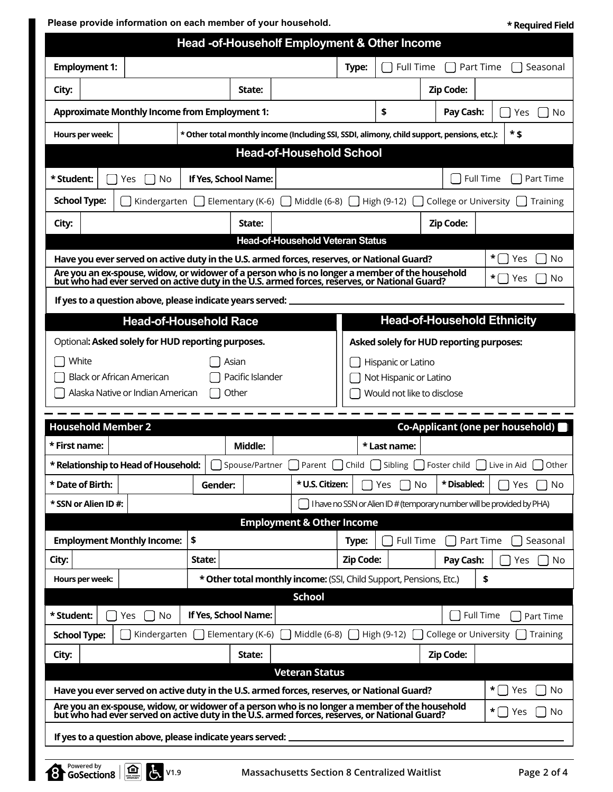**Please provide information on each member of your household.**

**\* Required Field**

| Head -of-Householf Employment & Other Income                                                                                                                                                                      |                                                                                                     |                                         |           |                                                      |                                                 |                                                                        |  |  |  |
|-------------------------------------------------------------------------------------------------------------------------------------------------------------------------------------------------------------------|-----------------------------------------------------------------------------------------------------|-----------------------------------------|-----------|------------------------------------------------------|-------------------------------------------------|------------------------------------------------------------------------|--|--|--|
| <b>Employment 1:</b>                                                                                                                                                                                              |                                                                                                     |                                         | Type:     | <b>Full Time</b>                                     |                                                 | Part Time<br>Seasonal                                                  |  |  |  |
| City:                                                                                                                                                                                                             | State:                                                                                              |                                         |           |                                                      | <b>Zip Code:</b>                                |                                                                        |  |  |  |
| <b>Approximate Monthly Income from Employment 1:</b>                                                                                                                                                              |                                                                                                     |                                         |           | \$                                                   | Pay Cash:                                       | No<br>Yes                                                              |  |  |  |
| Hours per week:                                                                                                                                                                                                   | * \$<br>* Other total monthly income (Including SSI, SSDI, alimony, child support, pensions, etc.): |                                         |           |                                                      |                                                 |                                                                        |  |  |  |
| <b>Head-of-Household School</b>                                                                                                                                                                                   |                                                                                                     |                                         |           |                                                      |                                                 |                                                                        |  |  |  |
| * Student:<br>Yes<br>No                                                                                                                                                                                           | If Yes, School Name:<br><b>Full Time</b><br>Part Time                                               |                                         |           |                                                      |                                                 |                                                                        |  |  |  |
| <b>School Type:</b><br>Kindergarten                                                                                                                                                                               | Elementary (K-6) $\begin{bmatrix} \end{bmatrix}$                                                    | Middle (6-8)                            |           | High (9-12)                                          | College or University                           | Training                                                               |  |  |  |
| City:                                                                                                                                                                                                             | State:                                                                                              |                                         |           |                                                      | <b>Zip Code:</b>                                |                                                                        |  |  |  |
|                                                                                                                                                                                                                   |                                                                                                     | <b>Head-of-Household Veteran Status</b> |           |                                                      |                                                 |                                                                        |  |  |  |
| Have you ever served on active duty in the U.S. armed forces, reserves, or National Guard?                                                                                                                        |                                                                                                     |                                         |           |                                                      |                                                 | *<br>Yes<br>No                                                         |  |  |  |
| Are you an ex-spouse, widow, or widower of a person who is no longer a member of the household<br>but who had ever served on active duty in the U.S. armed forces, reserves, or National Guard?                   |                                                                                                     |                                         |           |                                                      |                                                 | *<br>Yes<br>No                                                         |  |  |  |
| If yes to a question above, please indicate years served:                                                                                                                                                         |                                                                                                     |                                         |           |                                                      |                                                 |                                                                        |  |  |  |
|                                                                                                                                                                                                                   | <b>Head-of-Household Race</b>                                                                       |                                         |           |                                                      |                                                 | <b>Head-of-Household Ethnicity</b>                                     |  |  |  |
| Optional: Asked solely for HUD reporting purposes.                                                                                                                                                                |                                                                                                     |                                         |           |                                                      | <b>Asked solely for HUD reporting purposes:</b> |                                                                        |  |  |  |
| White                                                                                                                                                                                                             | Asian                                                                                               |                                         |           | Hispanic or Latino                                   |                                                 |                                                                        |  |  |  |
| <b>Black or African American</b><br>Alaska Native or Indian American                                                                                                                                              | Pacific Islander<br>Other                                                                           |                                         |           | Not Hispanic or Latino<br>Would not like to disclose |                                                 |                                                                        |  |  |  |
|                                                                                                                                                                                                                   |                                                                                                     |                                         |           |                                                      |                                                 |                                                                        |  |  |  |
| <b>Household Member 2</b>                                                                                                                                                                                         |                                                                                                     |                                         |           |                                                      |                                                 | Co-Applicant (one per household)                                       |  |  |  |
| * First name:                                                                                                                                                                                                     | <b>Middle:</b>                                                                                      |                                         |           | * Last name:                                         |                                                 |                                                                        |  |  |  |
| * Relationship to Head of Household:                                                                                                                                                                              | Spouse/Partner                                                                                      | Parent                                  | Child     | Sibling                                              | Foster child                                    | Live in Aid<br>Other                                                   |  |  |  |
| * Date of Birth:                                                                                                                                                                                                  | Gender:                                                                                             | * U.S. Citizen:                         |           | No<br>Yes                                            | * Disabled:                                     | No<br>Yes                                                              |  |  |  |
| * SSN or Alien ID#:                                                                                                                                                                                               |                                                                                                     |                                         |           |                                                      |                                                 | I have no SSN or Alien ID # (temporary number will be provided by PHA) |  |  |  |
|                                                                                                                                                                                                                   |                                                                                                     | <b>Employment &amp; Other Income</b>    |           |                                                      |                                                 |                                                                        |  |  |  |
| <b>Employment Monthly Income:</b>                                                                                                                                                                                 | \$                                                                                                  |                                         | Type:     | <b>Full Time</b>                                     |                                                 | Part Time<br>Seasonal                                                  |  |  |  |
| City:                                                                                                                                                                                                             | State:                                                                                              |                                         | Zip Code: |                                                      | Pay Cash:                                       | No<br>Yes                                                              |  |  |  |
| Hours per week:                                                                                                                                                                                                   | * Other total monthly income: (SSI, Child Support, Pensions, Etc.)                                  |                                         |           |                                                      |                                                 | \$                                                                     |  |  |  |
| <b>School</b><br>If Yes, School Name:<br><b>Full Time</b><br>* Student:<br>No<br>Yes<br>Part Time                                                                                                                 |                                                                                                     |                                         |           |                                                      |                                                 |                                                                        |  |  |  |
| <b>School Type:</b><br>Kindergarten<br>Elementary (K-6)<br>Middle (6-8)<br>High (9-12)<br>College or University<br>Training                                                                                       |                                                                                                     |                                         |           |                                                      |                                                 |                                                                        |  |  |  |
| City:                                                                                                                                                                                                             | State:                                                                                              |                                         |           |                                                      | <b>Zip Code:</b>                                |                                                                        |  |  |  |
| <b>Veteran Status</b>                                                                                                                                                                                             |                                                                                                     |                                         |           |                                                      |                                                 |                                                                        |  |  |  |
| *<br>Have you ever served on active duty in the U.S. armed forces, reserves, or National Guard?<br>Yes<br>No                                                                                                      |                                                                                                     |                                         |           |                                                      |                                                 |                                                                        |  |  |  |
| Are you an ex-spouse, widow, or widower of a person who is no longer a member of the household<br>but who had ever served on active duty in the U.S. armed forces, reserves, or National Guard?<br>*<br>Yes<br>No |                                                                                                     |                                         |           |                                                      |                                                 |                                                                        |  |  |  |
| If yes to a question above, please indicate years served:                                                                                                                                                         |                                                                                                     |                                         |           |                                                      |                                                 |                                                                        |  |  |  |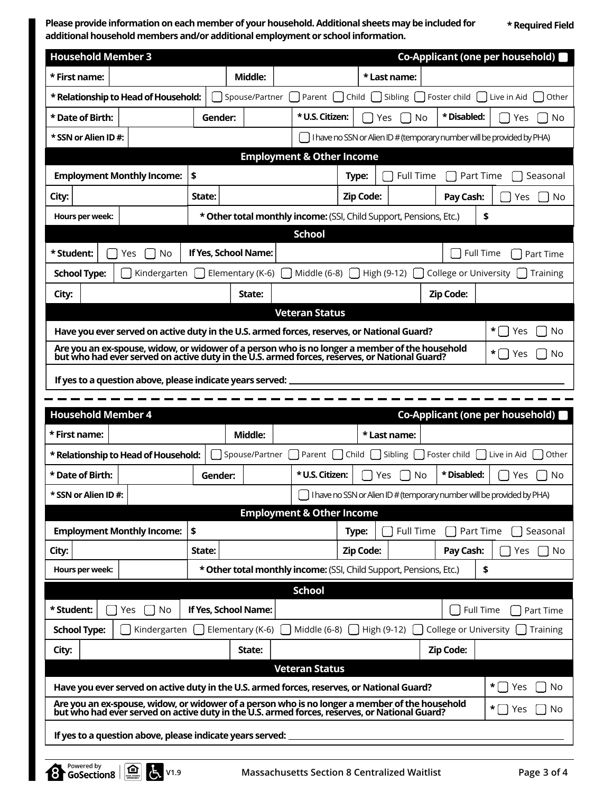**Please provide information on each member of your household. Additional sheets may be included for additional household members and/or additional employment or school information.**

**\* Required Field**

| <b>Household Member 3</b><br>Co-Applicant (one per household)                                                                                                                                   |         |                            |                                                                    |                  |                    |                         |                                                                          |  |  |  |  |
|-------------------------------------------------------------------------------------------------------------------------------------------------------------------------------------------------|---------|----------------------------|--------------------------------------------------------------------|------------------|--------------------|-------------------------|--------------------------------------------------------------------------|--|--|--|--|
| * First name:                                                                                                                                                                                   |         | Middle:                    |                                                                    |                  | * Last name:       |                         |                                                                          |  |  |  |  |
| * Relationship to Head of Household:                                                                                                                                                            |         | Spouse/Partner             | Parent                                                             | Child            | Sibling            | Foster child            | Other<br>Live in Aid                                                     |  |  |  |  |
| * Date of Birth:                                                                                                                                                                                | Gender: |                            | * U.S. Citizen:                                                    |                  | No<br>Yes          | * Disabled:             | Yes<br><b>No</b>                                                         |  |  |  |  |
| * SSN or Alien ID#:                                                                                                                                                                             |         |                            |                                                                    |                  |                    |                         | I have no SSN or Alien ID # (temporary number will be provided by PHA)   |  |  |  |  |
| <b>Employment &amp; Other Income</b>                                                                                                                                                            |         |                            |                                                                    |                  |                    |                         |                                                                          |  |  |  |  |
| <b>Employment Monthly Income:</b>                                                                                                                                                               | \$      |                            |                                                                    | Type:            | <b>Full Time</b>   |                         | Part Time<br>Seasonal                                                    |  |  |  |  |
| City:                                                                                                                                                                                           | State:  |                            |                                                                    | Zip Code:        |                    | Pay Cash:               | <b>No</b><br>Yes                                                         |  |  |  |  |
| Hours per week:                                                                                                                                                                                 |         |                            | * Other total monthly income: (SSI, Child Support, Pensions, Etc.) |                  |                    |                         | \$                                                                       |  |  |  |  |
|                                                                                                                                                                                                 |         |                            | <b>School</b>                                                      |                  |                    |                         |                                                                          |  |  |  |  |
| * Student:<br>Yes<br>No                                                                                                                                                                         |         | If Yes, School Name:       |                                                                    |                  |                    |                         | Full Time<br>Part Time                                                   |  |  |  |  |
| <b>School Type:</b><br>Kindergarten                                                                                                                                                             |         | Elementary (K-6)           | Middle (6-8)                                                       |                  | High $(9-12)$      | College or University   | Training                                                                 |  |  |  |  |
| City:                                                                                                                                                                                           |         | State:                     |                                                                    |                  |                    | Zip Code:               |                                                                          |  |  |  |  |
|                                                                                                                                                                                                 |         |                            | <b>Veteran Status</b>                                              |                  |                    |                         |                                                                          |  |  |  |  |
| Have you ever served on active duty in the U.S. armed forces, reserves, or National Guard?                                                                                                      |         |                            |                                                                    |                  |                    |                         | *<br>Yes<br>No                                                           |  |  |  |  |
| Are you an ex-spouse, widow, or widower of a person who is no longer a member of the household<br>but who had ever served on active duty in the U.S. armed forces, reserves, or National Guard? |         |                            |                                                                    |                  |                    |                         | $\star$    <br>No<br>Yes                                                 |  |  |  |  |
|                                                                                                                                                                                                 |         |                            | If yes to a question above, please indicate years served:          |                  |                    |                         |                                                                          |  |  |  |  |
|                                                                                                                                                                                                 |         |                            |                                                                    |                  |                    |                         |                                                                          |  |  |  |  |
|                                                                                                                                                                                                 |         |                            |                                                                    |                  |                    |                         |                                                                          |  |  |  |  |
| <b>Household Member 4</b>                                                                                                                                                                       |         |                            |                                                                    |                  |                    |                         | Co-Applicant (one per household)                                         |  |  |  |  |
| * First name:                                                                                                                                                                                   |         | Middle:                    |                                                                    |                  | * Last name:       |                         |                                                                          |  |  |  |  |
| * Relationship to Head of Household:                                                                                                                                                            |         | Spouse/Partner             | Parent                                                             | Child            | Sibling            | Foster child            | Live in Aid<br>Other                                                     |  |  |  |  |
| * Date of Birth:                                                                                                                                                                                | Gender: |                            | * U.S. Citizen:                                                    |                  | No<br>Yes          | * Disabled:             | <b>No</b><br>Yes                                                         |  |  |  |  |
| * SSN or Alien ID#:                                                                                                                                                                             |         |                            |                                                                    |                  |                    |                         | □ I have no SSN or Alien ID # (temporary number will be provided by PHA) |  |  |  |  |
|                                                                                                                                                                                                 |         |                            | <b>Employment &amp; Other Income</b>                               |                  |                    |                         |                                                                          |  |  |  |  |
| <b>Employment Monthly Income:</b>                                                                                                                                                               | \$      |                            |                                                                    | Type:            | Full Time          |                         | Part Time<br>Seasonal                                                    |  |  |  |  |
| City:                                                                                                                                                                                           | State:  |                            |                                                                    | <b>Zip Code:</b> |                    | Pay Cash:               | No<br>Yes                                                                |  |  |  |  |
| Hours per week:                                                                                                                                                                                 |         |                            | * Other total monthly income: (SSI, Child Support, Pensions, Etc.) |                  |                    |                         | \$                                                                       |  |  |  |  |
|                                                                                                                                                                                                 |         |                            | <b>School</b>                                                      |                  |                    |                         |                                                                          |  |  |  |  |
| * Student:<br>No<br>Yes                                                                                                                                                                         |         | If Yes, School Name:       |                                                                    |                  |                    |                         | Full Time<br>Part Time<br>Training                                       |  |  |  |  |
| Kindergarten<br><b>School Type:</b>                                                                                                                                                             |         | Elementary (K-6)<br>State: | Middle $(6-8)$ $\begin{bmatrix} \end{bmatrix}$                     |                  | High (9-12) $\Box$ | College or University [ |                                                                          |  |  |  |  |
| City:                                                                                                                                                                                           |         |                            | <b>Veteran Status</b>                                              |                  |                    | <b>Zip Code:</b>        |                                                                          |  |  |  |  |
| Have you ever served on active duty in the U.S. armed forces, reserves, or National Guard?                                                                                                      |         |                            |                                                                    |                  |                    |                         | $\star$    <br>Yes<br>No                                                 |  |  |  |  |
| Are you an ex-spouse, widow, or widower of a person who is no longer a member of the household<br>but who had ever served on active duty in the U.S. armed forces, reserves, or National Guard? |         |                            |                                                                    |                  |                    |                         | *  <br>Yes<br>No<br>$\blacksquare$                                       |  |  |  |  |